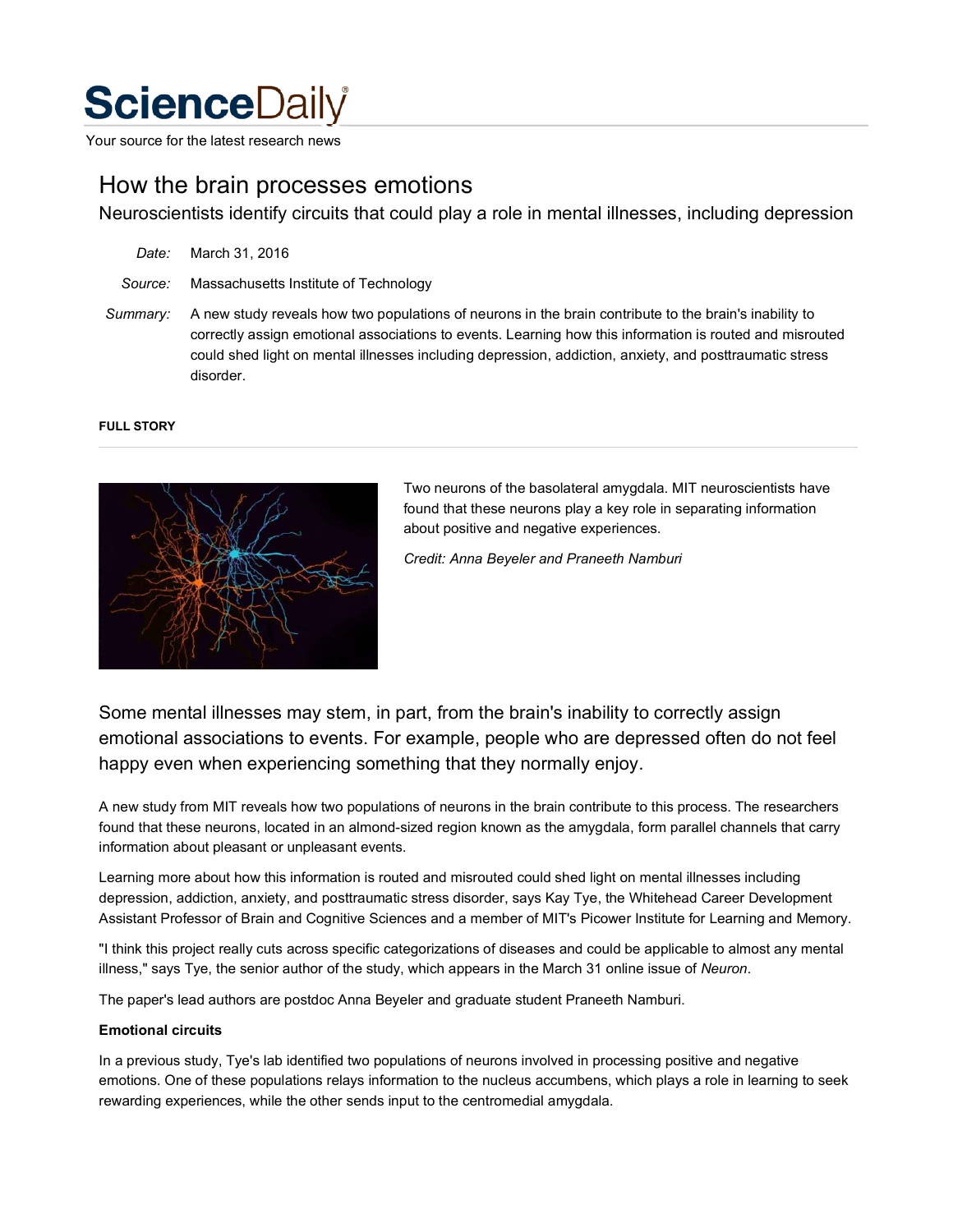# **Science**Daily

Your source for the latest research news

# How the brain processes emotions

Neuroscientists identify circuits that could play a role in mental illnesses, including depression

*Date:* March 31, 2016

*Source:* Massachusetts Institute of Technology

*Summary:* A new study reveals how two populations of neurons in the brain contribute to the brain's inability to correctly assign emotional associations to events. Learning how this information is routed and misrouted could shed light on mental illnesses including depression, addiction, anxiety, and posttraumatic stress disorder.

#### **FULL STORY**



Two neurons of the basolateral amygdala. MIT neuroscientists have found that these neurons play a key role in separating information about positive and negative experiences.

*Credit: Anna Beyeler and Praneeth Namburi*

Some mental illnesses may stem, in part, from the brain's inability to correctly assign emotional associations to events. For example, people who are depressed often do not feel happy even when experiencing something that they normally enjoy.

A new study from MIT reveals how two populations of neurons in the brain contribute to this process. The researchers found that these neurons, located in an almond-sized region known as the amygdala, form parallel channels that carry information about pleasant or unpleasant events.

Learning more about how this information is routed and misrouted could shed light on mental illnesses including depression, addiction, anxiety, and posttraumatic stress disorder, says Kay Tye, the Whitehead Career Development Assistant Professor of Brain and Cognitive Sciences and a member of MIT's Picower Institute for Learning and Memory.

"I think this project really cuts across specific categorizations of diseases and could be applicable to almost any mental illness," says Tye, the senior author of the study, which appears in the March 31 online issue of *Neuron*.

The paper's lead authors are postdoc Anna Beyeler and graduate student Praneeth Namburi.

## **Emotional circuits**

In a previous study, Tye's lab identified two populations of neurons involved in processing positive and negative emotions. One of these populations relays information to the nucleus accumbens, which plays a role in learning to seek rewarding experiences, while the other sends input to the centromedial amygdala.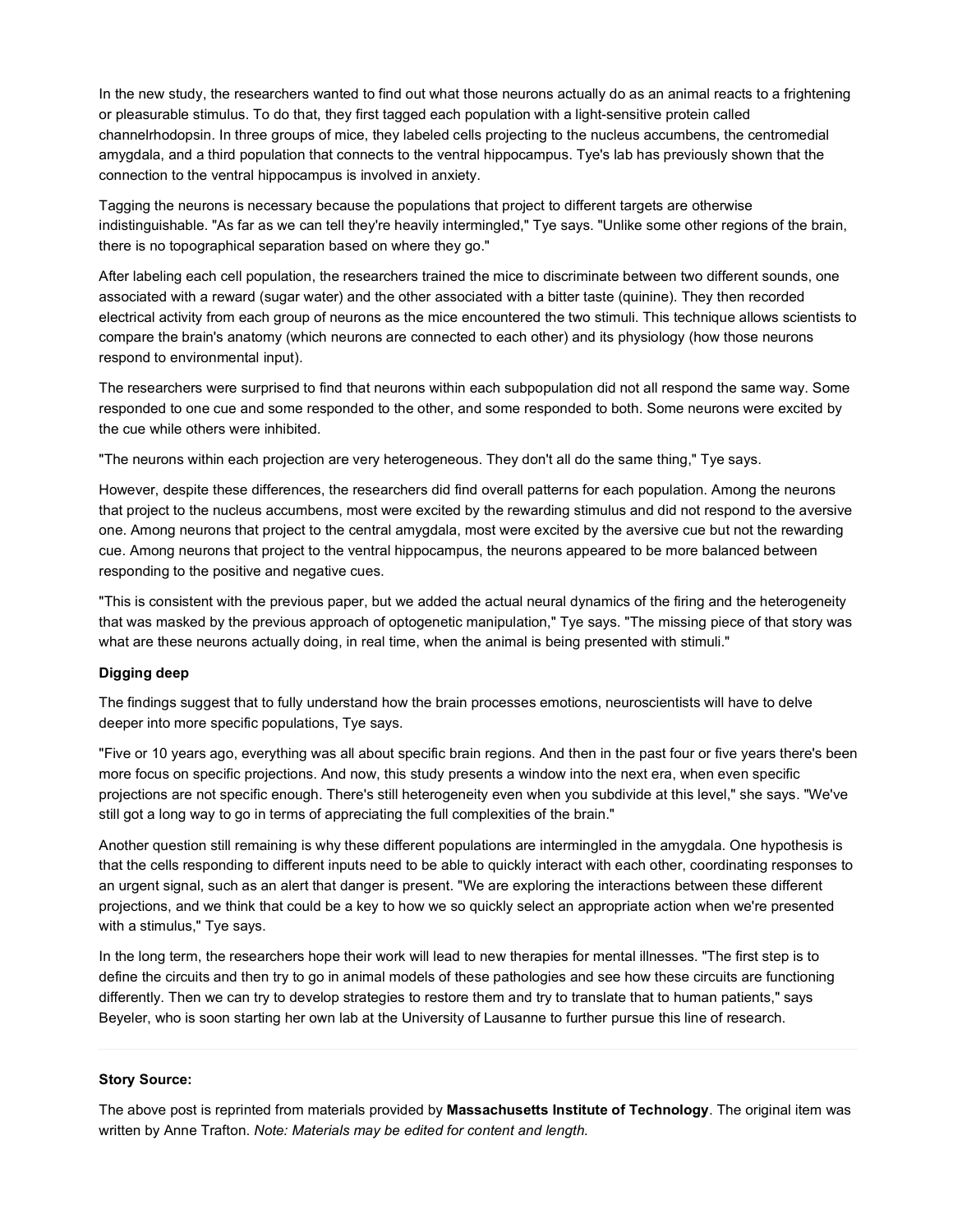In the new study, the researchers wanted to find out what those neurons actually do as an animal reacts to a frightening or pleasurable stimulus. To do that, they first tagged each population with a light-sensitive protein called channelrhodopsin. In three groups of mice, they labeled cells projecting to the nucleus accumbens, the centromedial amygdala, and a third population that connects to the ventral hippocampus. Tye's lab has previously shown that the connection to the ventral hippocampus is involved in anxiety.

Tagging the neurons is necessary because the populations that project to different targets are otherwise indistinguishable. "As far as we can tell they're heavily intermingled," Tye says. "Unlike some other regions of the brain, there is no topographical separation based on where they go."

After labeling each cell population, the researchers trained the mice to discriminate between two different sounds, one associated with a reward (sugar water) and the other associated with a bitter taste (quinine). They then recorded electrical activity from each group of neurons as the mice encountered the two stimuli. This technique allows scientists to compare the brain's anatomy (which neurons are connected to each other) and its physiology (how those neurons respond to environmental input).

The researchers were surprised to find that neurons within each subpopulation did not all respond the same way. Some responded to one cue and some responded to the other, and some responded to both. Some neurons were excited by the cue while others were inhibited.

"The neurons within each projection are very heterogeneous. They don't all do the same thing," Tye says.

However, despite these differences, the researchers did find overall patterns for each population. Among the neurons that project to the nucleus accumbens, most were excited by the rewarding stimulus and did not respond to the aversive one. Among neurons that project to the central amygdala, most were excited by the aversive cue but not the rewarding cue. Among neurons that project to the ventral hippocampus, the neurons appeared to be more balanced between responding to the positive and negative cues.

"This is consistent with the previous paper, but we added the actual neural dynamics of the firing and the heterogeneity that was masked by the previous approach of optogenetic manipulation," Tye says. "The missing piece of that story was what are these neurons actually doing, in real time, when the animal is being presented with stimuli."

## **Digging deep**

The findings suggest that to fully understand how the brain processes emotions, neuroscientists will have to delve deeper into more specific populations, Tye says.

"Five or 10 years ago, everything was all about specific brain regions. And then in the past four or five years there's been more focus on specific projections. And now, this study presents a window into the next era, when even specific projections are not specific enough. There's still heterogeneity even when you subdivide at this level," she says. "We've still got a long way to go in terms of appreciating the full complexities of the brain."

Another question still remaining is why these different populations are intermingled in the amygdala. One hypothesis is that the cells responding to different inputs need to be able to quickly interact with each other, coordinating responses to an urgent signal, such as an alert that danger is present. "We are exploring the interactions between these different projections, and we think that could be a key to how we so quickly select an appropriate action when we're presented with a stimulus," Tye says.

In the long term, the researchers hope their work will lead to new therapies for mental illnesses. "The first step is to define the circuits and then try to go in animal models of these pathologies and see how these circuits are functioning differently. Then we can try to develop strategies to restore them and try to translate that to human patients," says Beyeler, who is soon starting her own lab at the University of Lausanne to further pursue this line of research.

#### **Story Source:**

The above post is reprinted from materials provided by **Massachusetts Institute of Technology**. The original item was written by Anne Trafton. *Note: Materials may be edited for content and length.*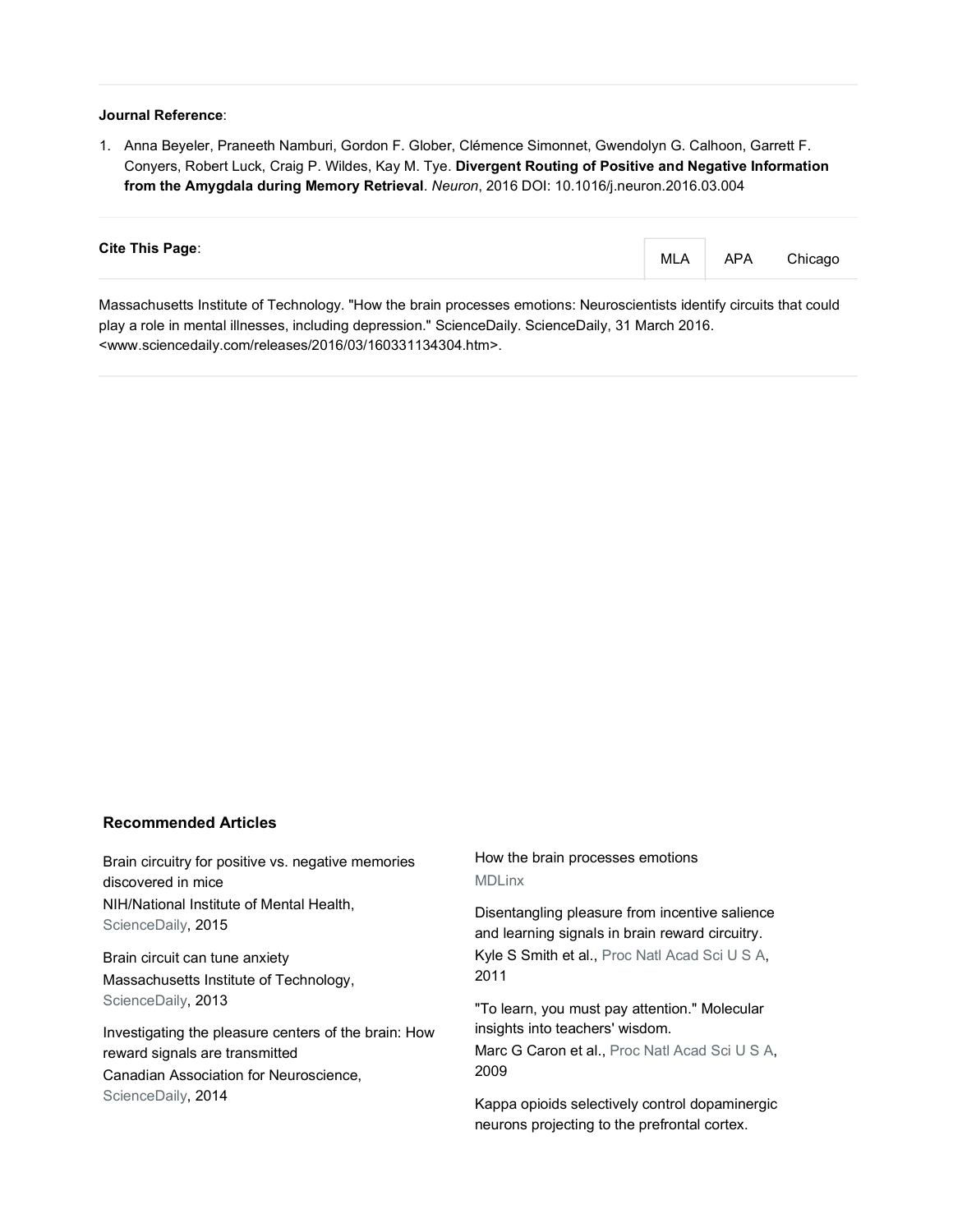#### **Journal Reference**:

1. Anna Beyeler, Praneeth Namburi, Gordon F. Glober, Clémence Simonnet, Gwendolyn G. Calhoon, Garrett F. Conyers, Robert Luck, Craig P. Wildes, Kay M. Tye. **Divergent Routing of Positive and Negative Information from the Amygdala during Memory Retrieval**. *Neuron*, 2016 DOI: 10.1016/j.neuron.2016.03.004

| <b>Cite This Page:</b>                                                                                                 | MLA | APA | Chicago |
|------------------------------------------------------------------------------------------------------------------------|-----|-----|---------|
| Massachusetts Institute of Technology. "How the brain processes emotions: Neuroscientists identify circuits that could |     |     |         |

play a role in mental illnesses, including depression." ScienceDaily. ScienceDaily, 31 March 2016. <www.sciencedaily.com/releases/2016/03/160331134304.htm>.

## **Recommended Articles**

Brain circuitry for positive vs. negative memories discovered in mice NIH/National Institute of Mental Health, ScienceDaily, 2015

Brain circuit can tune anxiety Massachusetts Institute of Technology, ScienceDaily, 2013

Investigating the pleasure centers of the brain: How reward signals are transmitted Canadian Association for Neuroscience, ScienceDaily, 2014

# How the brain processes emotions **MDLinx**

Disentangling pleasure from incentive salience and learning signals in brain reward circuitry. Kyle S Smith et al., Proc Natl Acad Sci U S A, 2011

"To learn, you must pay attention." Molecular insights into teachers' wisdom.

Marc G Caron et al., Proc Natl Acad Sci U S A, 2009

Kappa opioids selectively control dopaminergic neurons projecting to the prefrontal cortex.